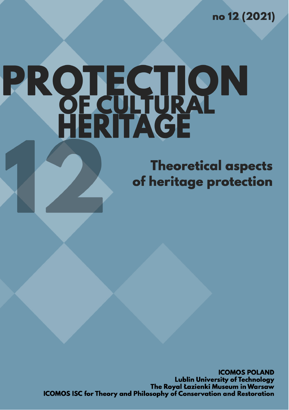no 12 (2021)

# PROTECTION

**Theoretical aspects** of heritage protection

**ICOMOS POLAND Lublin University of Technology** The Royal Łazienki Museum in Warsaw **ICOMOS ISC for Theory and Philosophy of Conservation and Restoration**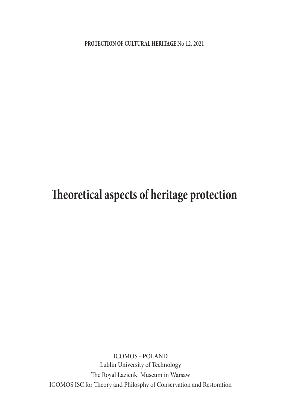**PROTECTION OF CULTURAL HERITAGE** No 12, 2021

# **Theoretical aspects of heritage protection**

ICOMOS - POLAND Lublin University of Technology The Royal Łazienki Museum in Warsaw ICOMOS ISC for Theory and Philosphy of Conservation and Restoration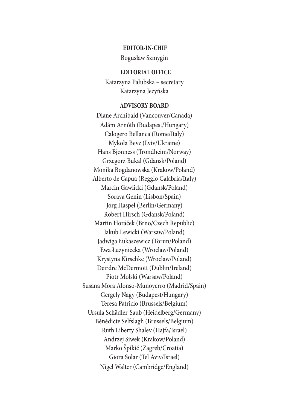### **EDITOR-IN-CHIF**

Bogusław Szmygin

### **EDITORIAL OFFICE**

Katarzyna Pałubska – secretary Katarzyna Jeżyńska

### **ADVISORY BOARD**

Diane Archibald (Vancouver/Canada) Ádám Arnóth (Budapest/Hungary) Calogero Bellanca (Rome/Italy) Mykoła Bevz (Lviv/Ukraine) Hans Bjønness (Trondheim/Norway) Grzegorz Bukal (Gdansk/Poland) Monika Bogdanowska (Krakow/Poland) Alberto de Capua (Reggio Calabria/Italy) Marcin Gawlicki (Gdansk/Poland) Soraya Genin (Lisbon/Spain) Jorg Haspel (Berlin/Germany) Robert Hirsch (Gdansk/Poland) Martin Horáček (Brno/Czech Republic) Jakub Lewicki (Warsaw/Poland) Jadwiga Łukaszewicz (Torun/Poland) Ewa Łużyniecka (Wroclaw/Poland) Krystyna Kirschke (Wroclaw/Poland) Deirdre McDermott (Dublin/Ireland) Piotr Molski (Warsaw/Poland) Susana Mora Alonso-Munoyerro (Madrid/Spain) Gergely Nagy (Budapest/Hungary) Teresa Patricio (Brussels/Belgium) Ursula Schädler-Saub (Heidelberg/Germany) Bénédicte Selfslagh (Brussels/Belgium) Ruth Liberty Shalev (Hajfa/Israel) Andrzej Siwek (Krakow/Poland) Marko Špikić (Zagreb/Croatia) Giora Solar (Tel Aviv/Israel) Nigel Walter (Cambridge/England)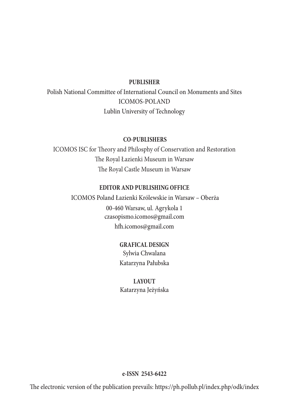### **PUBLISHER**

Polish National Committee of International Council on Monuments and Sites ICOMOS-POLAND Lublin University of Technology

### **CO-PUBLISHERS**

ICOMOS ISC for Theory and Philosphy of Conservation and Restoration The Royal Łazienki Museum in Warsaw The Royal Castle Museum in Warsaw

### **EDITOR AND PUBLISHING OFFICE**

 ICOMOS Poland Łazienki Królewskie in Warsaw – Oberża 00-460 Warsaw, ul. Agrykola 1 czasopismo.icomos@gmail.com hfh.icomos@gmail.com

### **GRAFICAL DESIGN**

Sylwia Chwalana Katarzyna Pałubska

**LAYOUT** Katarzyna Jeżyńska

### **e-ISSN 2543-6422**

The electronic version of the publication prevails: https://ph.pollub.pl/index.php/odk/index